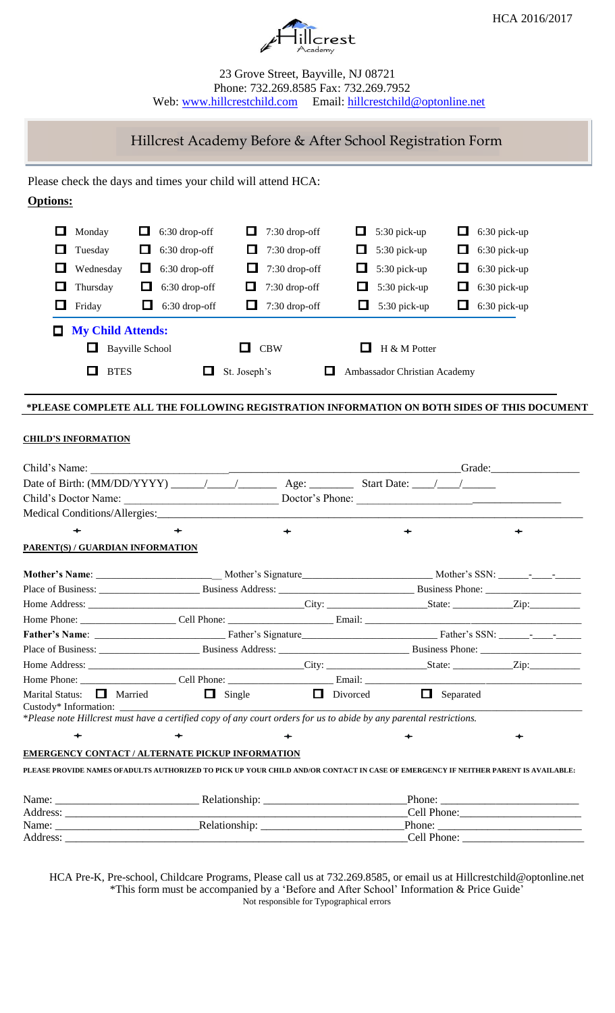



### 23 Grove Street, Bayville, NJ 08721 Phone: 732.269.8585 Fax: 732.269.7952 Web: [www.hillcrestchild.com](http://www.hillcrestchild.com/) Email: [hillcrestchild@optonline.net](mailto:hillcrestchild@optonline.net)

# Hillcrest Academy Before & After School Registration Form

### Please check the days and times your child will attend HCA:

## **Options:**

| ப           | Monday<br>ப              | 6:30 drop-off   | $\Box$       | $7:30$ drop-off | ப |        | 5:30 pick-up                 | ப | $6:30$ pick-up |
|-------------|--------------------------|-----------------|--------------|-----------------|---|--------|------------------------------|---|----------------|
| ப           | Tuesday<br>ப             | 6:30 drop-off   | ப            | $7:30$ drop-off | ш |        | 5:30 pick-up                 | ப | 6:30 pick-up   |
| ப           | Wednesday<br>ப           | 6:30 drop-off   | ப            | $7:30$ drop-off |   | $\Box$ | 5:30 pick-up                 | ப | 6:30 pick-up   |
| ப           | Thursday<br>ш            | $6:30$ drop-off | ப            | $7:30$ drop-off |   | ப      | 5:30 pick-up                 | ப | 6:30 pick-up   |
| Friday<br>ப | ш                        | 6:30 drop-off   | <b>LA</b>    | 7:30 drop-off   |   | ш      | $5:30$ pick-up               | ப | 6:30 pick-up   |
|             | <b>My Child Attends:</b> |                 |              |                 |   |        |                              |   |                |
|             | <b>Bayville School</b>   |                 |              | <b>CBW</b>      |   |        | $H \& M$ Potter              |   |                |
|             | <b>RTES</b>              |                 | St. Joseph's |                 |   |        | Ambassador Christian Academy |   |                |

### **\*PLEASE COMPLETE ALL THE FOLLOWING REGISTRATION INFORMATION ON BOTH SIDES OF THIS DOCUMENT**

#### **CHILD'S INFORMATION**

|                                                                                                                                                       |                               | <b>State:</b> Grade: |                |  |  |  |
|-------------------------------------------------------------------------------------------------------------------------------------------------------|-------------------------------|----------------------|----------------|--|--|--|
|                                                                                                                                                       |                               |                      |                |  |  |  |
|                                                                                                                                                       |                               |                      |                |  |  |  |
|                                                                                                                                                       |                               |                      |                |  |  |  |
| $\color{blue}\div$                                                                                                                                    | $\div$                        |                      |                |  |  |  |
| PARENT(S) / GUARDIAN INFORMATION                                                                                                                      |                               |                      |                |  |  |  |
|                                                                                                                                                       |                               |                      |                |  |  |  |
|                                                                                                                                                       |                               |                      |                |  |  |  |
|                                                                                                                                                       |                               |                      |                |  |  |  |
|                                                                                                                                                       |                               |                      |                |  |  |  |
|                                                                                                                                                       |                               |                      |                |  |  |  |
|                                                                                                                                                       |                               |                      |                |  |  |  |
|                                                                                                                                                       |                               |                      |                |  |  |  |
|                                                                                                                                                       |                               |                      |                |  |  |  |
| Marital Status: $\Box$ Married<br>*Please note Hillcrest must have a certified copy of any court orders for us to abide by any parental restrictions. | $\Box$ Single $\Box$ Divorced | $\Box$ Separated     |                |  |  |  |
|                                                                                                                                                       |                               |                      |                |  |  |  |
| <b>EMERGENCY CONTACT / ALTERNATE PICKUP INFORMATION</b>                                                                                               |                               |                      |                |  |  |  |
| PLEASE PROVIDE NAMES OFADULTS AUTHORIZED TO PICK UP YOUR CHILD AND/OR CONTACT IN CASE OF EMERGENCY IF NEITHER PARENT IS AVAILABLE:                    |                               |                      |                |  |  |  |
|                                                                                                                                                       |                               |                      |                |  |  |  |
|                                                                                                                                                       |                               |                      |                |  |  |  |
|                                                                                                                                                       |                               |                      | $-$ Phone: $-$ |  |  |  |

HCA Pre-K, Pre-school, Childcare Programs, Please call us at 732.269.8585, or email us at Hillcrestchild@optonline.net \*This form must be accompanied by a 'Before and After School' Information & Price Guide' Not responsible for Typographical errors

Address: \_\_\_\_\_\_\_\_\_\_\_\_\_\_\_\_\_\_\_\_\_\_\_\_\_\_\_\_\_\_\_\_\_\_\_\_\_\_\_\_\_\_\_\_\_\_\_\_\_\_\_\_\_\_\_\_\_\_\_\_\_\_Cell Phone: \_\_\_\_\_\_\_\_\_\_\_\_\_\_\_\_\_\_\_\_\_\_